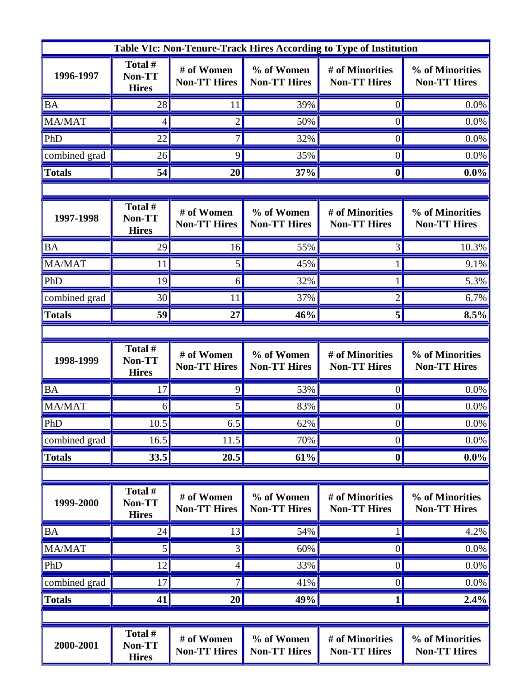| Table VIc: Non-Tenure-Track Hires According to Type of Institution |                                   |                                   |                                   |                                        |                                        |  |  |  |
|--------------------------------------------------------------------|-----------------------------------|-----------------------------------|-----------------------------------|----------------------------------------|----------------------------------------|--|--|--|
| 1996-1997                                                          | Total #<br>Non-TT<br><b>Hires</b> | # of Women<br><b>Non-TT Hires</b> | % of Women<br><b>Non-TT Hires</b> | # of Minorities<br><b>Non-TT Hires</b> | % of Minorities<br><b>Non-TT Hires</b> |  |  |  |
| <b>BA</b>                                                          | 28                                | 11                                | 39%                               | $\overline{0}$                         | 0.0%                                   |  |  |  |
| MA/MAT                                                             | 4                                 | $\overline{2}$                    | 50%                               | 0                                      | 0.0%                                   |  |  |  |
| PhD                                                                | 22                                | 7                                 | 32%                               | 0                                      | 0.0%                                   |  |  |  |
| combined grad                                                      | 26                                | 9                                 | 35%                               | $\theta$                               | 0.0%                                   |  |  |  |
| <b>Totals</b>                                                      | 54                                | 20                                | 37%                               | $\boldsymbol{0}$                       | $0.0\%$                                |  |  |  |
|                                                                    |                                   |                                   |                                   |                                        |                                        |  |  |  |
| 1997-1998                                                          | Total #<br>Non-TT<br><b>Hires</b> | # of Women<br><b>Non-TT Hires</b> | % of Women<br><b>Non-TT Hires</b> | # of Minorities<br><b>Non-TT Hires</b> | % of Minorities<br><b>Non-TT Hires</b> |  |  |  |
| <b>BA</b>                                                          | 29                                | 16                                | 55%                               |                                        | 10.3%                                  |  |  |  |
| MA/MAT                                                             | 11                                | 5                                 | 45%                               |                                        | 9.1%                                   |  |  |  |
| PhD                                                                | 19                                | 6                                 | 32%                               |                                        | 5.3%                                   |  |  |  |
| combined grad                                                      | 30                                | 11                                | 37%                               |                                        | 6.7%                                   |  |  |  |
| <b>Totals</b>                                                      | 59                                | 27                                | 46%                               | 5                                      | 8.5%                                   |  |  |  |
|                                                                    |                                   |                                   |                                   |                                        |                                        |  |  |  |
| 1998-1999                                                          | Total #<br>Non-TT<br><b>Hires</b> | # of Women<br><b>Non-TT Hires</b> | % of Women<br><b>Non-TT Hires</b> | # of Minorities<br><b>Non-TT Hires</b> | % of Minorities<br><b>Non-TT Hires</b> |  |  |  |
| <b>BA</b>                                                          | 17                                | 9                                 | 53%                               |                                        | 0.0%                                   |  |  |  |
| MA/MAT                                                             | 6                                 | 5                                 | 83%                               | $\theta$                               | 0.0%                                   |  |  |  |
| PhD                                                                | $10.5$                            | 6.5                               | 62%                               | $\mathbf{U}$                           | $0.0\%$                                |  |  |  |
| combined grad                                                      | 16.5                              | 11.5                              | 70%                               | $\theta$                               | 0.0%                                   |  |  |  |
| <b>Totals</b>                                                      | 33.5                              | 20.5                              | 61%                               | $\boldsymbol{0}$                       | $0.0\%$                                |  |  |  |
|                                                                    |                                   |                                   |                                   |                                        |                                        |  |  |  |
| 1999-2000                                                          | Total #<br>Non-TT<br><b>Hires</b> | # of Women<br><b>Non-TT Hires</b> | % of Women<br><b>Non-TT Hires</b> | # of Minorities<br><b>Non-TT Hires</b> | % of Minorities<br><b>Non-TT Hires</b> |  |  |  |
| <b>BA</b>                                                          | 24                                | 13                                | 54%                               |                                        | 4.2%                                   |  |  |  |
| <b>MA/MAT</b>                                                      | 5                                 | 3                                 | 60%                               | $\theta$                               | 0.0%                                   |  |  |  |
| PhD                                                                | 12                                | 4                                 | 33%                               | 0                                      | 0.0%                                   |  |  |  |
| combined grad                                                      | 17                                | 7                                 | 41%                               | $\overline{0}$                         | 0.0%                                   |  |  |  |
| <b>Totals</b>                                                      | 41                                | 20                                | 49%                               | 1                                      | 2.4%                                   |  |  |  |
|                                                                    |                                   |                                   |                                   |                                        |                                        |  |  |  |
| 2000-2001                                                          | Total #<br>Non-TT<br><b>Hires</b> | # of Women<br><b>Non-TT Hires</b> | % of Women<br><b>Non-TT Hires</b> | # of Minorities<br><b>Non-TT Hires</b> | % of Minorities<br><b>Non-TT Hires</b> |  |  |  |